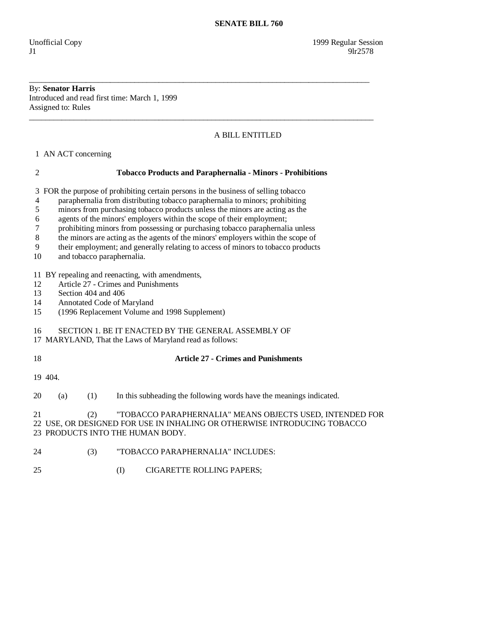## By: **Senator Harris**  Introduced and read first time: March 1, 1999 Assigned to: Rules

## A BILL ENTITLED

1 AN ACT concerning

 2 **Tobacco Products and Paraphernalia - Minors - Prohibitions**  3 FOR the purpose of prohibiting certain persons in the business of selling tobacco 4 paraphernalia from distributing tobacco paraphernalia to minors; prohibiting 5 minors from purchasing tobacco products unless the minors are acting as the 6 agents of the minors' employers within the scope of their employment; 7 prohibiting minors from possessing or purchasing tobacco paraphernalia unless 8 the minors are acting as the agents of the minors' employers within the scope of 9 their employment; and generally relating to access of minors to tobacco products 10 and tobacco paraphernalia. 11 BY repealing and reenacting, with amendments, 12 Article 27 - Crimes and Punishments 13 Section 404 and 406<br>14 Annotated Code of M Annotated Code of Maryland 15 (1996 Replacement Volume and 1998 Supplement) 16 SECTION 1. BE IT ENACTED BY THE GENERAL ASSEMBLY OF 17 MARYLAND, That the Laws of Maryland read as follows: 18 **Article 27 - Crimes and Punishments**  19 404. 20 (a) (1) In this subheading the following words have the meanings indicated. 21 (2) "TOBACCO PARAPHERNALIA" MEANS OBJECTS USED, INTENDED FOR 22 USE, OR DESIGNED FOR USE IN INHALING OR OTHERWISE INTRODUCING TOBACCO 23 PRODUCTS INTO THE HUMAN BODY. 24 (3) "TOBACCO PARAPHERNALIA" INCLUDES:

\_\_\_\_\_\_\_\_\_\_\_\_\_\_\_\_\_\_\_\_\_\_\_\_\_\_\_\_\_\_\_\_\_\_\_\_\_\_\_\_\_\_\_\_\_\_\_\_\_\_\_\_\_\_\_\_\_\_\_\_\_\_\_\_\_\_\_\_\_\_\_\_\_\_\_\_\_\_\_\_\_\_\_\_

\_\_\_\_\_\_\_\_\_\_\_\_\_\_\_\_\_\_\_\_\_\_\_\_\_\_\_\_\_\_\_\_\_\_\_\_\_\_\_\_\_\_\_\_\_\_\_\_\_\_\_\_\_\_\_\_\_\_\_\_\_\_\_\_\_\_\_\_\_\_\_\_\_\_\_\_\_\_\_\_\_\_\_\_\_

25 (I) CIGARETTE ROLLING PAPERS;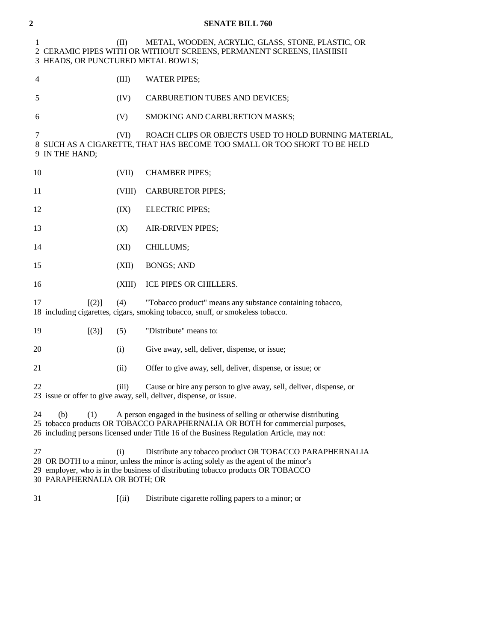| $\overline{\mathbf{c}}$                                                                                                                                                                                                                                                 |                                         |        | <b>SENATE BILL 760</b>                                                                                                                                                                                                             |
|-------------------------------------------------------------------------------------------------------------------------------------------------------------------------------------------------------------------------------------------------------------------------|-----------------------------------------|--------|------------------------------------------------------------------------------------------------------------------------------------------------------------------------------------------------------------------------------------|
|                                                                                                                                                                                                                                                                         | 1<br>3 HEADS, OR PUNCTURED METAL BOWLS; | (II)   | METAL, WOODEN, ACRYLIC, GLASS, STONE, PLASTIC, OR<br>2 CERAMIC PIPES WITH OR WITHOUT SCREENS, PERMANENT SCREENS, HASHISH                                                                                                           |
|                                                                                                                                                                                                                                                                         | 4                                       | (III)  | <b>WATER PIPES;</b>                                                                                                                                                                                                                |
|                                                                                                                                                                                                                                                                         | 5                                       | (IV)   | CARBURETION TUBES AND DEVICES;                                                                                                                                                                                                     |
|                                                                                                                                                                                                                                                                         | 6                                       | (V)    | SMOKING AND CARBURETION MASKS;                                                                                                                                                                                                     |
|                                                                                                                                                                                                                                                                         | 7<br>9 IN THE HAND;                     | (VI)   | ROACH CLIPS OR OBJECTS USED TO HOLD BURNING MATERIAL,<br>8 SUCH AS A CIGARETTE, THAT HAS BECOME TOO SMALL OR TOO SHORT TO BE HELD                                                                                                  |
|                                                                                                                                                                                                                                                                         | 10                                      | (VII)  | <b>CHAMBER PIPES;</b>                                                                                                                                                                                                              |
|                                                                                                                                                                                                                                                                         | 11                                      | (VIII) | <b>CARBURETOR PIPES;</b>                                                                                                                                                                                                           |
|                                                                                                                                                                                                                                                                         | 12                                      | (IX)   | <b>ELECTRIC PIPES;</b>                                                                                                                                                                                                             |
|                                                                                                                                                                                                                                                                         | 13                                      | (X)    | AIR-DRIVEN PIPES;                                                                                                                                                                                                                  |
|                                                                                                                                                                                                                                                                         | 14                                      | (XI)   | CHILLUMS;                                                                                                                                                                                                                          |
|                                                                                                                                                                                                                                                                         | 15                                      | (XII)  | <b>BONGS; AND</b>                                                                                                                                                                                                                  |
|                                                                                                                                                                                                                                                                         | 16                                      | (XIII) | ICE PIPES OR CHILLERS.                                                                                                                                                                                                             |
|                                                                                                                                                                                                                                                                         | 17<br>$\lceil (2) \rceil$               | (4)    | "Tobacco product" means any substance containing tobacco,<br>18 including cigarettes, cigars, smoking tobacco, snuff, or smokeless tobacco.                                                                                        |
|                                                                                                                                                                                                                                                                         | $[(3)]$<br>19                           | (5)    | "Distribute" means to:                                                                                                                                                                                                             |
|                                                                                                                                                                                                                                                                         | 20                                      | (i)    | Give away, sell, deliver, dispense, or issue;                                                                                                                                                                                      |
|                                                                                                                                                                                                                                                                         | 21                                      | (ii)   | Offer to give away, sell, deliver, dispense, or issue; or                                                                                                                                                                          |
|                                                                                                                                                                                                                                                                         | 22                                      | (iii)  | Cause or hire any person to give away, sell, deliver, dispense, or<br>23 issue or offer to give away, sell, deliver, dispense, or issue.                                                                                           |
| A person engaged in the business of selling or otherwise distributing<br>24<br>(b)<br>(1)<br>25 tobacco products OR TOBACCO PARAPHERNALIA OR BOTH for commercial purposes,<br>26 including persons licensed under Title 16 of the Business Regulation Article, may not: |                                         |        |                                                                                                                                                                                                                                    |
|                                                                                                                                                                                                                                                                         | 27<br>30 PARAPHERNALIA OR BOTH; OR      | (i)    | Distribute any tobacco product OR TOBACCO PARAPHERNALIA<br>28 OR BOTH to a minor, unless the minor is acting solely as the agent of the minor's<br>29 employer, who is in the business of distributing tobacco products OR TOBACCO |
|                                                                                                                                                                                                                                                                         | 31                                      | (iii)  | Distribute cigarette rolling papers to a minor; or                                                                                                                                                                                 |